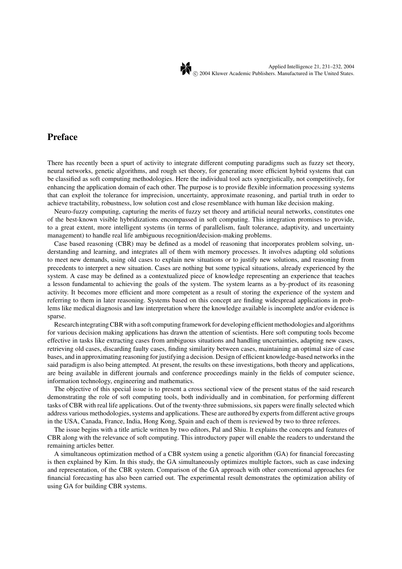

## **Preface**

There has recently been a spurt of activity to integrate different computing paradigms such as fuzzy set theory, neural networks, genetic algorithms, and rough set theory, for generating more efficient hybrid systems that can be classified as soft computing methodologies. Here the individual tool acts synergistically, not competitively, for enhancing the application domain of each other. The purpose is to provide flexible information processing systems that can exploit the tolerance for imprecision, uncertainty, approximate reasoning, and partial truth in order to achieve tractability, robustness, low solution cost and close resemblance with human like decision making.

Neuro-fuzzy computing, capturing the merits of fuzzy set theory and artificial neural networks, constitutes one of the best-known visible hybridizations encompassed in soft computing. This integration promises to provide, to a great extent, more intelligent systems (in terms of parallelism, fault tolerance, adaptivity, and uncertainty management) to handle real life ambiguous recognition/decision-making problems.

Case based reasoning (CBR) may be defined as a model of reasoning that incorporates problem solving, understanding and learning, and integrates all of them with memory processes. It involves adapting old solutions to meet new demands, using old cases to explain new situations or to justify new solutions, and reasoning from precedents to interpret a new situation. Cases are nothing but some typical situations, already experienced by the system. A case may be defined as a contextualized piece of knowledge representing an experience that teaches a lesson fundamental to achieving the goals of the system. The system learns as a by-product of its reasoning activity. It becomes more efficient and more competent as a result of storing the experience of the system and referring to them in later reasoning. Systems based on this concept are finding widespread applications in problems like medical diagnosis and law interpretation where the knowledge available is incomplete and/or evidence is sparse.

Research integrating CBR with a soft computing framework for developing efficient methodologies and algorithms for various decision making applications has drawn the attention of scientists. Here soft computing tools become effective in tasks like extracting cases from ambiguous situations and handling uncertainties, adapting new cases, retrieving old cases, discarding faulty cases, finding similarity between cases, maintaining an optimal size of case bases, and in approximating reasoning for justifying a decision. Design of efficient knowledge-based networks in the said paradigm is also being attempted. At present, the results on these investigations, both theory and applications, are being available in different journals and conference proceedings mainly in the fields of computer science, information technology, engineering and mathematics.

The objective of this special issue is to present a cross sectional view of the present status of the said research demonstrating the role of soft computing tools, both individually and in combination, for performing different tasks of CBR with real life applications. Out of the twenty-three submissions, six papers were finally selected which address various methodologies, systems and applications. These are authored by experts from different active groups in the USA, Canada, France, India, Hong Kong, Spain and each of them is reviewed by two to three referees.

The issue begins with a title article written by two editors, Pal and Shiu. It explains the concepts and features of CBR along with the relevance of soft computing. This introductory paper will enable the readers to understand the remaining articles better.

A simultaneous optimization method of a CBR system using a genetic algorithm (GA) for financial forecasting is then explained by Kim. In this study, the GA simultaneously optimizes multiple factors, such as case indexing and representation, of the CBR system. Comparison of the GA approach with other conventional approaches for financial forecasting has also been carried out. The experimental result demonstrates the optimization ability of using GA for building CBR systems.